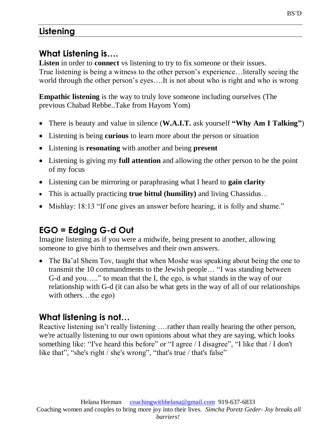# **Listening**

# **What Listening is….**

**Listen** in order to **connect** vs listening to try to fix someone or their issues. True listening is being a witness to the other person's experience…literally seeing the world through the other person's eyes….It is not about who is right and who is wrong

**Empathic listening** is the way to truly love someone including ourselves (The previous Chabad Rebbe..Take from Hayom Yom)

- There is beauty and value in silence (**W.A.I.T.** ask yourself **"Why Am I Talking"**)
- Listening is being **curious** to learn more about the person or situation
- Listening is **resonating** with another and being **present**
- Listening is giving my **full attention** and allowing the other person to be the point of my focus
- Listening can be mirroring or paraphrasing what I heard to **gain clarity**
- This is actually practicing **true bittul (humility)** and living Chassidus…
- Mishlay: 18:13 "If one gives an answer before hearing, it is folly and shame."

# **EGO = Edging G-d Out**

Imagine listening as if you were a midwife, being present to another, allowing someone to give birth to themselves and their own answers.

 The Ba'al Shem Tov, taught that when Moshe was speaking about being the one to transmit the 10 commandments to the Jewish people… "I was standing between G-d and you….." to mean that the I, the ego, is what stands in the way of our relationship with G-d (it can also be what gets in the way of all of our relationships with others…the ego)

# **What listening is not…**

Reactive listening isn't really listening ….rather than really hearing the other person, we're actually listening to our own opinions about what they are saying, which looks something like: "I've heard this before" or "I agree / I disagree", "I like that / I don't like that", "she's right / she's wrong", "that's true / that's false"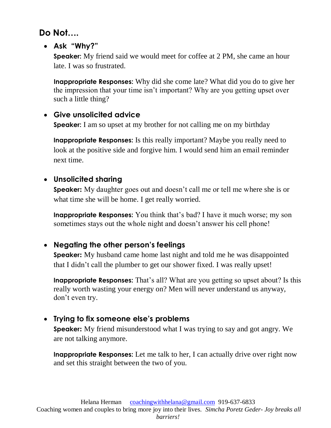**Do Not….**

**Ask "Why?"**

**Speaker:** My friend said we would meet for coffee at 2 PM, she came an hour late. I was so frustrated.

**Inappropriate Responses:** Why did she come late? What did you do to give her the impression that your time isn't important? Why are you getting upset over such a little thing?

## **Give unsolicited advice**

**Speaker:** I am so upset at my brother for not calling me on my birthday

**Inappropriate Responses:** Is this really important? Maybe you really need to look at the positive side and forgive him. I would send him an email reminder next time.

## **Unsolicited sharing**

**Speaker:** My daughter goes out and doesn't call me or tell me where she is or what time she will be home. I get really worried.

**Inappropriate Responses:** You think that's bad? I have it much worse; my son sometimes stays out the whole night and doesn't answer his cell phone!

# **Negating the other person's feelings**

**Speaker:** My husband came home last night and told me he was disappointed that I didn't call the plumber to get our shower fixed. I was really upset!

**Inappropriate Responses:** That's all? What are you getting so upset about? Is this really worth wasting your energy on? Men will never understand us anyway, don't even try.

## **Trying to fix someone else's problems**

**Speaker:** My friend misunderstood what I was trying to say and got angry. We are not talking anymore.

**Inappropriate Responses:** Let me talk to her, I can actually drive over right now and set this straight between the two of you.